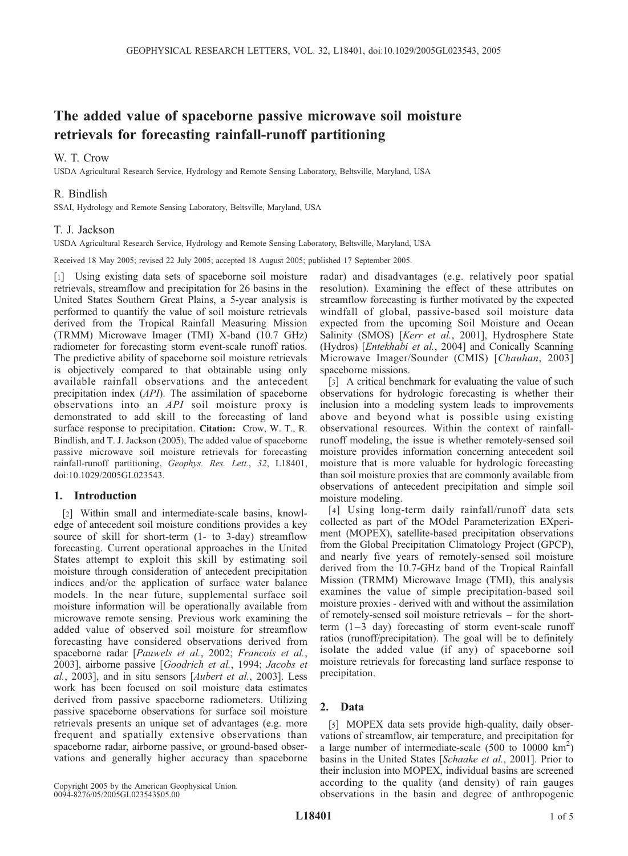# The added value of spaceborne passive microwave soil moisture retrievals for forecasting rainfall-runoff partitioning

## W. T. Crow

USDA Agricultural Research Service, Hydrology and Remote Sensing Laboratory, Beltsville, Maryland, USA

## R. Bindlish

SSAI, Hydrology and Remote Sensing Laboratory, Beltsville, Maryland, USA

## T. J. Jackson

USDA Agricultural Research Service, Hydrology and Remote Sensing Laboratory, Beltsville, Maryland, USA

Received 18 May 2005; revised 22 July 2005; accepted 18 August 2005; published 17 September 2005.

[1] Using existing data sets of spaceborne soil moisture retrievals, streamflow and precipitation for 26 basins in the United States Southern Great Plains, a 5-year analysis is performed to quantify the value of soil moisture retrievals derived from the Tropical Rainfall Measuring Mission (TRMM) Microwave Imager (TMI) X-band (10.7 GHz) radiometer for forecasting storm event-scale runoff ratios. The predictive ability of spaceborne soil moisture retrievals is objectively compared to that obtainable using only available rainfall observations and the antecedent precipitation index (API). The assimilation of spaceborne observations into an API soil moisture proxy is demonstrated to add skill to the forecasting of land surface response to precipitation. Citation: Crow, W. T., R. Bindlish, and T. J. Jackson (2005), The added value of spaceborne passive microwave soil moisture retrievals for forecasting rainfall-runoff partitioning, Geophys. Res. Lett., 32, L18401, doi:10.1029/2005GL023543.

## 1. Introduction

[2] Within small and intermediate-scale basins, knowledge of antecedent soil moisture conditions provides a key source of skill for short-term (1- to 3-day) streamflow forecasting. Current operational approaches in the United States attempt to exploit this skill by estimating soil moisture through consideration of antecedent precipitation indices and/or the application of surface water balance models. In the near future, supplemental surface soil moisture information will be operationally available from microwave remote sensing. Previous work examining the added value of observed soil moisture for streamflow forecasting have considered observations derived from spaceborne radar [Pauwels et al., 2002; Francois et al., 2003], airborne passive [Goodrich et al., 1994; Jacobs et al., 2003], and in situ sensors [Aubert et al., 2003]. Less work has been focused on soil moisture data estimates derived from passive spaceborne radiometers. Utilizing passive spaceborne observations for surface soil moisture retrievals presents an unique set of advantages (e.g. more frequent and spatially extensive observations than spaceborne radar, airborne passive, or ground-based observations and generally higher accuracy than spaceborne

radar) and disadvantages (e.g. relatively poor spatial resolution). Examining the effect of these attributes on streamflow forecasting is further motivated by the expected windfall of global, passive-based soil moisture data expected from the upcoming Soil Moisture and Ocean Salinity (SMOS) [Kerr et al., 2001], Hydrosphere State (Hydros) [Entekhabi et al., 2004] and Conically Scanning Microwave Imager/Sounder (CMIS) [Chauhan, 2003] spaceborne missions.

[3] A critical benchmark for evaluating the value of such observations for hydrologic forecasting is whether their inclusion into a modeling system leads to improvements above and beyond what is possible using existing observational resources. Within the context of rainfallrunoff modeling, the issue is whether remotely-sensed soil moisture provides information concerning antecedent soil moisture that is more valuable for hydrologic forecasting than soil moisture proxies that are commonly available from observations of antecedent precipitation and simple soil moisture modeling.

[4] Using long-term daily rainfall/runoff data sets collected as part of the MOdel Parameterization EXperiment (MOPEX), satellite-based precipitation observations from the Global Precipitation Climatology Project (GPCP), and nearly five years of remotely-sensed soil moisture derived from the 10.7-GHz band of the Tropical Rainfall Mission (TRMM) Microwave Image (TMI), this analysis examines the value of simple precipitation-based soil moisture proxies - derived with and without the assimilation of remotely-sensed soil moisture retrievals – for the shortterm  $(1-3$  day) forecasting of storm event-scale runoff ratios (runoff/precipitation). The goal will be to definitely isolate the added value (if any) of spaceborne soil moisture retrievals for forecasting land surface response to precipitation.

## 2. Data

[5] MOPEX data sets provide high-quality, daily observations of streamflow, air temperature, and precipitation for a large number of intermediate-scale  $(500 \text{ to } 10000 \text{ km}^2)$ basins in the United States [Schaake et al., 2001]. Prior to their inclusion into MOPEX, individual basins are screened according to the quality (and density) of rain gauges observations in the basin and degree of anthropogenic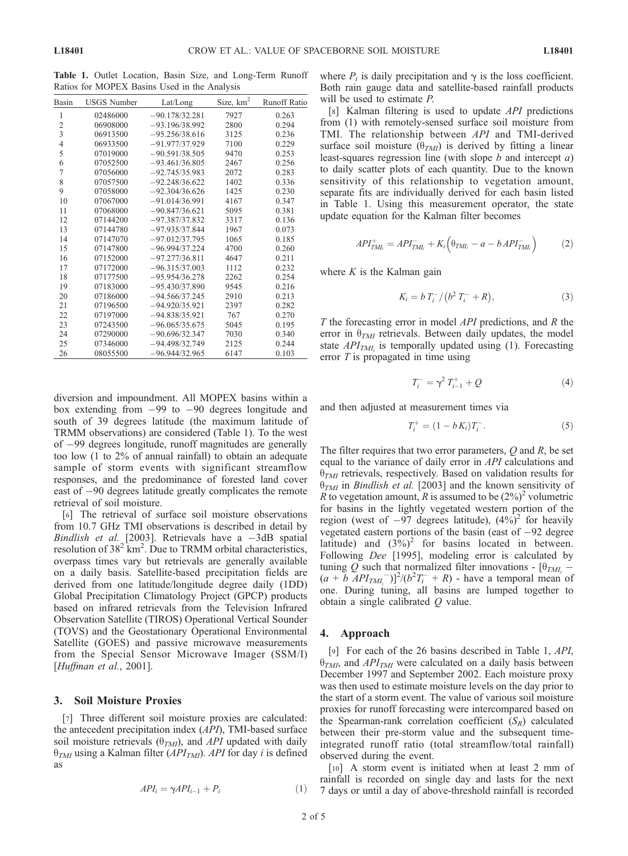Table 1. Outlet Location, Basin Size, and Long-Term Runoff Ratios for MOPEX Basins Used in the Analysis

| Basin          | <b>USGS Number</b> | Lat/Long         | Size, $km^2$ | <b>Runoff Ratio</b> |
|----------------|--------------------|------------------|--------------|---------------------|
| 1              | 02486000           | $-90.178/32.281$ | 7927         | 0.263               |
| $\overline{c}$ | 06908000           | $-93$ 196/38 992 | 2800         | 0.294               |
| $\overline{3}$ | 06913500           | $-95.256/38.616$ | 3125         | 0.236               |
| $\overline{4}$ | 06933500           | $-91.977/37.929$ | 7100         | 0.229               |
| 5              | 07019000           | $-90.591/38.505$ | 9470         | 0.253               |
| 6              | 07052500           | $-93.461/36.805$ | 2467         | 0.256               |
| $\overline{7}$ | 07056000           | $-92.745/35.983$ | 2072         | 0.283               |
| 8              | 07057500           | $-92.248/36.622$ | 1402         | 0.336               |
| 9              | 07058000           | $-92.304/36.626$ | 1425         | 0.230               |
| 10             | 07067000           | $-91.014/36.991$ | 4167         | 0.347               |
| 11             | 07068000           | $-90.847/36.621$ | 5095         | 0.381               |
| 12             | 07144200           | $-97.387/37.832$ | 3317         | 0.136               |
| 13             | 07144780           | $-97.935/37.844$ | 1967         | 0.073               |
| 14             | 07147070           | $-97.012/37.795$ | 1065         | 0.185               |
| 15             | 07147800           | $-96.994/37.224$ | 4700         | 0.260               |
| 16             | 07152000           | $-97.277/36.811$ | 4647         | 0.211               |
| 17             | 07172000           | $-96.315/37.003$ | 1112         | 0.232               |
| 18             | 07177500           | $-95.954/36.278$ | 2262         | 0.254               |
| 19             | 07183000           | $-95.430/37.890$ | 9545         | 0.216               |
| 20             | 07186000           | $-94.566/37.245$ | 2910         | 0.213               |
| 21             | 07196500           | $-94.920/35.921$ | 2397         | 0.282               |
| 22             | 07197000           | $-94.838/35.921$ | 767          | 0.270               |
| 23             | 07243500           | $-96.065/35.675$ | 5045         | 0.195               |
| 24             | 07290000           | $-90.696/32.347$ | 7030         | 0.340               |
| 25             | 07346000           | $-94.498/32.749$ | 2125         | 0.244               |
| 26             | 08055500           | $-96.944/32.965$ | 6147         | 0.103               |

diversion and impoundment. All MOPEX basins within a box extending from  $-99$  to  $-90$  degrees longitude and south of 39 degrees latitude (the maximum latitude of TRMM observations) are considered (Table 1). To the west of 99 degrees longitude, runoff magnitudes are generally too low (1 to 2% of annual rainfall) to obtain an adequate sample of storm events with significant streamflow responses, and the predominance of forested land cover east of  $-90$  degrees latitude greatly complicates the remote retrieval of soil moisture.

[6] The retrieval of surface soil moisture observations from 10.7 GHz TMI observations is described in detail by Bindlish et al. [2003]. Retrievals have a  $-3dB$  spatial resolution of  $38^2$  km<sup>2</sup>. Due to TRMM orbital characteristics, overpass times vary but retrievals are generally available on a daily basis. Satellite-based precipitation fields are derived from one latitude/longitude degree daily (1DD) Global Precipitation Climatology Project (GPCP) products based on infrared retrievals from the Television Infrared Observation Satellite (TIROS) Operational Vertical Sounder (TOVS) and the Geostationary Operational Environmental Satellite (GOES) and passive microwave measurements from the Special Sensor Microwave Imager (SSM/I) [Huffman et al., 2001].

#### 3. Soil Moisture Proxies

[7] Three different soil moisture proxies are calculated: the antecedent precipitation index (API), TMI-based surface soil moisture retrievals  $(\theta_{TMl})$ , and API updated with daily  $\theta_{TMI}$  using a Kalman filter (API<sub>TMI</sub>). API for day i is defined as

$$
API_i = \gamma API_{i-1} + P_i \tag{1}
$$

where  $P_i$  is daily precipitation and  $\gamma$  is the loss coefficient. Both rain gauge data and satellite-based rainfall products will be used to estimate *P*.

[8] Kalman filtering is used to update API predictions from (1) with remotely-sensed surface soil moisture from TMI. The relationship between API and TMI-derived surface soil moisture  $(\theta_{TM})$  is derived by fitting a linear least-squares regression line (with slope  $b$  and intercept  $a$ ) to daily scatter plots of each quantity. Due to the known sensitivity of this relationship to vegetation amount, separate fits are individually derived for each basin listed in Table 1. Using this measurement operator, the state update equation for the Kalman filter becomes

$$
API_{TMI_i}^+ = API_{TMI_i}^- + K_i \Big( \theta_{TMI_i} - a - bAPI_{TMI_i}^- \Big) \tag{2}
$$

where  $K$  is the Kalman gain

$$
K_i = b T_i^- / (b^2 T_i^- + R), \tag{3}
$$

T the forecasting error in model API predictions, and R the error in  $\theta_{TM}$  retrievals. Between daily updates, the model state  $API_{TM}$  is temporally updated using (1). Forecasting error  $T$  is propagated in time using

$$
T_i^- = \gamma^2 T_{i-1}^+ + Q \tag{4}
$$

and then adjusted at measurement times via

$$
T_i^+ = (1 - b K_i) T_i^-.
$$
 (5)

The filter requires that two error parameters,  $Q$  and  $R$ , be set equal to the variance of daily error in API calculations and  $\theta_{TM}$  retrievals, respectively. Based on validation results for  $\theta_{TMI}$  in *Bindlish et al.* [2003] and the known sensitivity of R to vegetation amount, R is assumed to be  $(2\%)^2$  volumetric for basins in the lightly vegetated western portion of the region (west of  $-97$  degrees latitude),  $(4\%)^2$  for heavily vegetated eastern portions of the basin (east of  $-92$  degree latitude) and  $(3\%)^2$  for basins located in between. Following Dee [1995], modeling error is calculated by tuning Q such that normalized filter innovations -  $[\theta_{TM}$  –  $(a + b \overline{API_{TM_i}}^{-})^2/(b^2T_i^{-} + R)$  - have a temporal mean of one. During tuning, all basins are lumped together to obtain a single calibrated  $Q$  value.

#### 4. Approach

[9] For each of the 26 basins described in Table 1, API,  $\theta_{TMI}$ , and  $API_{TMI}$  were calculated on a daily basis between December 1997 and September 2002. Each moisture proxy was then used to estimate moisture levels on the day prior to the start of a storm event. The value of various soil moisture proxies for runoff forecasting were intercompared based on the Spearman-rank correlation coefficient  $(S_R)$  calculated between their pre-storm value and the subsequent timeintegrated runoff ratio (total streamflow/total rainfall) observed during the event.

[10] A storm event is initiated when at least 2 mm of rainfall is recorded on single day and lasts for the next 7 days or until a day of above-threshold rainfall is recorded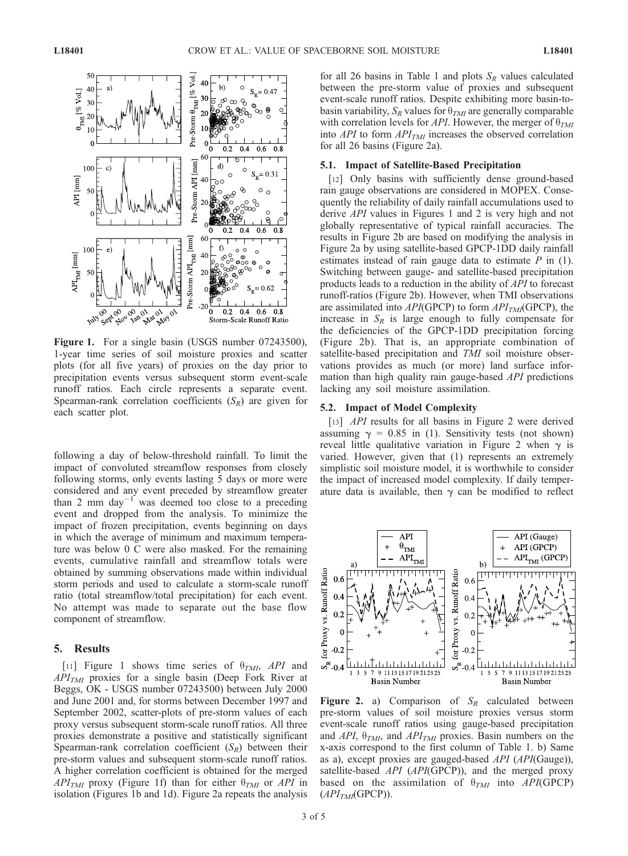

Figure 1. For a single basin (USGS number 07243500), 1-year time series of soil moisture proxies and scatter plots (for all five years) of proxies on the day prior to precipitation events versus subsequent storm event-scale runoff ratios. Each circle represents a separate event. Spearman-rank correlation coefficients  $(S_R)$  are given for each scatter plot.

following a day of below-threshold rainfall. To limit the impact of convoluted streamflow responses from closely following storms, only events lasting 5 days or more were considered and any event preceded by streamflow greater than 2 mm day<sup>-1</sup> was deemed too close to a preceding event and dropped from the analysis. To minimize the impact of frozen precipitation, events beginning on days in which the average of minimum and maximum temperature was below 0 C were also masked. For the remaining events, cumulative rainfall and streamflow totals were obtained by summing observations made within individual storm periods and used to calculate a storm-scale runoff ratio (total streamflow/total precipitation) for each event. No attempt was made to separate out the base flow component of streamflow.

#### 5. Results

[11] Figure 1 shows time series of  $\theta_{TM}$ , API and  $API<sub>TMI</sub>$  proxies for a single basin (Deep Fork River at Beggs, OK - USGS number 07243500) between July 2000 and June 2001 and, for storms between December 1997 and September 2002, scatter-plots of pre-storm values of each proxy versus subsequent storm-scale runoff ratios. All three proxies demonstrate a positive and statistically significant Spearman-rank correlation coefficient  $(S_R)$  between their pre-storm values and subsequent storm-scale runoff ratios. A higher correlation coefficient is obtained for the merged  $API_{TMI}$  proxy (Figure 1f) than for either  $\theta_{TMI}$  or API in isolation (Figures 1b and 1d). Figure 2a repeats the analysis

for all 26 basins in Table 1 and plots  $S_R$  values calculated between the pre-storm value of proxies and subsequent event-scale runoff ratios. Despite exhibiting more basin-tobasin variability,  $S_R$  values for  $\theta_{TMI}$  are generally comparable with correlation levels for API. However, the merger of  $\theta_{TMI}$ into  $API$  to form  $API_{TMI}$  increases the observed correlation for all 26 basins (Figure 2a).

#### 5.1. Impact of Satellite-Based Precipitation

[12] Only basins with sufficiently dense ground-based rain gauge observations are considered in MOPEX. Consequently the reliability of daily rainfall accumulations used to derive API values in Figures 1 and 2 is very high and not globally representative of typical rainfall accuracies. The results in Figure 2b are based on modifying the analysis in Figure 2a by using satellite-based GPCP-1DD daily rainfall estimates instead of rain gauge data to estimate  $P$  in (1). Switching between gauge- and satellite-based precipitation products leads to a reduction in the ability of API to forecast runoff-ratios (Figure 2b). However, when TMI observations are assimilated into  $API$ (GPCP) to form  $API<sub>TMI</sub>$ (GPCP), the increase in  $S_R$  is large enough to fully compensate for the deficiencies of the GPCP-1DD precipitation forcing (Figure 2b). That is, an appropriate combination of satellite-based precipitation and TMI soil moisture observations provides as much (or more) land surface information than high quality rain gauge-based API predictions lacking any soil moisture assimilation.

#### 5.2. Impact of Model Complexity

[13] *API* results for all basins in Figure 2 were derived assuming  $\gamma = 0.85$  in (1). Sensitivity tests (not shown) reveal little qualitative variation in Figure 2 when  $\gamma$  is varied. However, given that (1) represents an extremely simplistic soil moisture model, it is worthwhile to consider the impact of increased model complexity. If daily temperature data is available, then  $\gamma$  can be modified to reflect



**Figure 2.** a) Comparison of  $S_R$  calculated between pre-storm values of soil moisture proxies versus storm event-scale runoff ratios using gauge-based precipitation and API,  $\theta_{TM}$ , and API<sub>TMI</sub> proxies. Basin numbers on the x-axis correspond to the first column of Table 1. b) Same as a), except proxies are gauged-based API (API(Gauge)), satellite-based API (API(GPCP)), and the merged proxy based on the assimilation of  $\theta_{TMI}$  into API(GPCP)  $(API<sub>TMI</sub>(GPCP)).$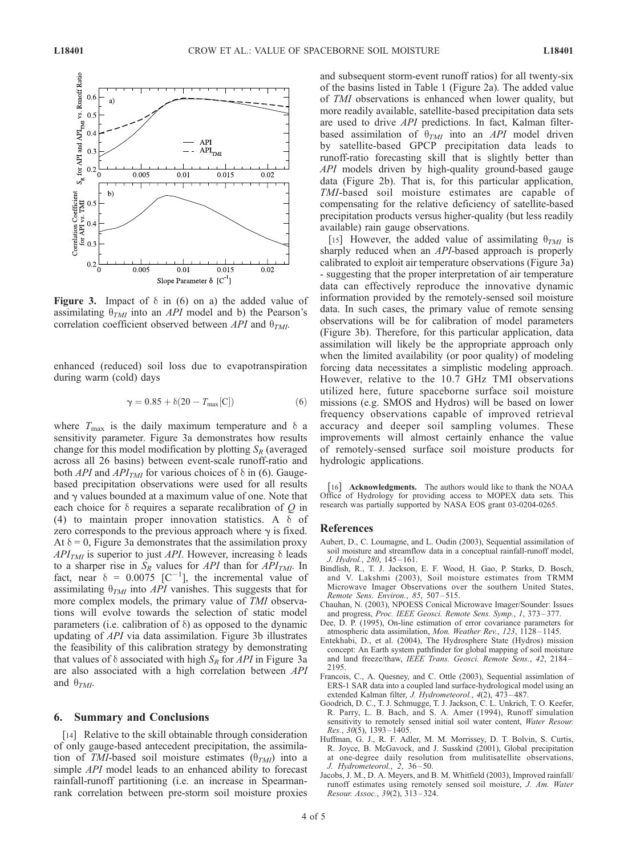

Figure 3. Impact of  $\delta$  in (6) on a) the added value of assimilating  $\theta_{TM}$  into an API model and b) the Pearson's correlation coefficient observed between API and  $\theta_{TM}$ .

enhanced (reduced) soil loss due to evapotranspiration during warm (cold) days

$$
\gamma = 0.85 + \delta(20 - T_{\text{max}}[C]) \tag{6}
$$

where  $T_{\text{max}}$  is the daily maximum temperature and  $\delta$  a sensitivity parameter. Figure 3a demonstrates how results change for this model modification by plotting  $S_R$  (averaged across all 26 basins) between event-scale runoff-ratio and both *API* and *API<sub>TMI</sub>* for various choices of  $\delta$  in (6). Gaugebased precipitation observations were used for all results and  $\gamma$  values bounded at a maximum value of one. Note that each choice for  $\delta$  requires a separate recalibration of O in (4) to maintain proper innovation statistics. A  $\delta$  of zero corresponds to the previous approach where  $\gamma$  is fixed. At  $\delta = 0$ , Figure 3a demonstrates that the assimilation proxy  $API<sub>TMI</sub>$  is superior to just API. However, increasing  $\delta$  leads to a sharper rise in  $S_R$  values for API than for API<sub>TMI</sub>. In fact, near  $\delta = 0.0075$  [C<sup>-1</sup>], the incremental value of assimilating  $\theta_{TMI}$  into *API* vanishes. This suggests that for more complex models, the primary value of TMI observations will evolve towards the selection of static model parameters (i.e. calibration of  $\delta$ ) as opposed to the dynamic updating of API via data assimilation. Figure 3b illustrates the feasibility of this calibration strategy by demonstrating that values of  $\delta$  associated with high  $S_R$  for API in Figure 3a are also associated with a high correlation between API and  $\theta_{TMI}$ .

### 6. Summary and Conclusions

[14] Relative to the skill obtainable through consideration of only gauge-based antecedent precipitation, the assimilation of TMI-based soil moisture estimates  $(\theta_{TMI})$  into a simple *API* model leads to an enhanced ability to forecast rainfall-runoff partitioning (i.e. an increase in Spearmanrank correlation between pre-storm soil moisture proxies

and subsequent storm-event runoff ratios) for all twenty-six of the basins listed in Table 1 (Figure 2a). The added value of TMI observations is enhanced when lower quality, but more readily available, satellite-based precipitation data sets are used to drive API predictions. In fact, Kalman filterbased assimilation of  $\theta_{TM}$  into an API model driven by satellite-based GPCP precipitation data leads to runoff-ratio forecasting skill that is slightly better than API models driven by high-quality ground-based gauge data (Figure 2b). That is, for this particular application, TMI-based soil moisture estimates are capable of compensating for the relative deficiency of satellite-based precipitation products versus higher-quality (but less readily available) rain gauge observations.

[15] However, the added value of assimilating  $\theta_{TM}$  is sharply reduced when an API-based approach is properly calibrated to exploit air temperature observations (Figure 3a) - suggesting that the proper interpretation of air temperature data can effectively reproduce the innovative dynamic information provided by the remotely-sensed soil moisture data. In such cases, the primary value of remote sensing observations will be for calibration of model parameters (Figure 3b). Therefore, for this particular application, data assimilation will likely be the appropriate approach only when the limited availability (or poor quality) of modeling forcing data necessitates a simplistic modeling approach. However, relative to the 10.7 GHz TMI observations utilized here, future spaceborne surface soil moisture missions (e.g. SMOS and Hydros) will be based on lower frequency observations capable of improved retrieval accuracy and deeper soil sampling volumes. These improvements will almost certainly enhance the value of remotely-sensed surface soil moisture products for hydrologic applications.

[16] Acknowledgments. The authors would like to thank the NOAA Office of Hydrology for providing access to MOPEX data sets. This research was partially supported by NASA EOS grant 03-0204-0265.

#### References

- Aubert, D., C. Loumagne, and L. Oudin (2003), Sequential assimilation of soil moisture and streamflow data in a conceptual rainfall-runoff model, J. Hydrol., 280, 145 – 161.
- Bindlish, R., T. J. Jackson, E. F. Wood, H. Gao, P. Starks, D. Bosch, and V. Lakshmi (2003), Soil moisture estimates from TRMM Microwave Imager Observations over the southern United States, Remote Sens. Environ., 85, 507 – 515.
- Chauhan, N. (2003), NPOESS Conical Microwave Imager/Sounder: Issues and progress, Proc. IEEE Geosci. Remote Sens. Symp., 1, 373 – 377.
- Dee, D. P. (1995), On-line estimation of error covariance parameters for atmospheric data assimilation, Mon. Weather Rev., 123, 1128-1145.
- Entekhabi, D., et al. (2004), The Hydrosphere State (Hydros) mission concept: An Earth system pathfinder for global mapping of soil moisture and land freeze/thaw, IEEE Trans. Geosci. Remote Sens., 42, 2184 – 2195.
- Francois, C., A. Quesney, and C. Ottle (2003), Sequential assimlation of ERS-1 SAR data into a coupled land surface-hydrological model using an extended Kalman filter, *J. Hydrometeorol.*,  $4(2)$ ,  $47\overline{3}$ -487.
- Goodrich, D. C., T. J. Schmugge, T. J. Jackson, C. L. Unkrich, T. O. Keefer, R. Parry, L. B. Bach, and S. A. Amer (1994), Runoff simulation sensitivity to remotely sensed initial soil water content, Water Resour. Res.,  $30(5)$ ,  $1393 - 1405$ .
- Huffman, G. J., R. F. Adler, M. M. Morrissey, D. T. Bolvin, S. Curtis, R. Joyce, B. McGavock, and J. Susskind (2001), Global precipitation at one-degree daily resolution from mulitisatellite observations, J. Hydrometeorol., 2, 36-50.
- Jacobs, J. M., D. A. Meyers, and B. M. Whitfield (2003), Improved rainfall/ runoff estimates using remotely sensed soil moisture, J. Am. Water Resour. Assoc., 39(2), 313 – 324.